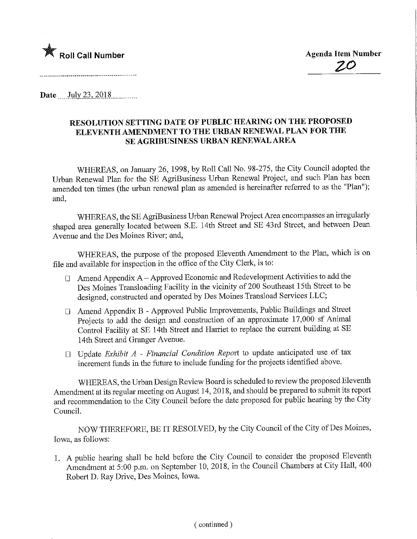

Date July 23, 2018

## RESOLUTION SETTING DATE OF PUBLIC HEARING ON THE PROPOSED ELEVENTH AMENDMENT TO THE URBAN RENEWAL PLAN FOR THE SE AGRIBUSINESS URBAN RENEWAL AREA

WHEREAS, on January 26, 1998, by Roll Call No. 98-275, the City Council adopted the Urban Renewal Plan for the SE AgriBusiness Urban Renewal Project, and such Plan has been amended ten times (the urban renewal plan as amended is hereinafter referred to as the "Plan"); and,

WHEREAS, the SE AgriBusiness Urban Renewal Project Area encompasses an irregularly shaped area generally located between S.E. 14th Street and SE 43rd Street, and between Dean Avenue and the Des Moines River; and,

WHEREAS, the purpose of the proposed Eleventh Amendment to the Plan, which is on file and available for inspection in the office of the City Clerk, is to:

- D Amend Appendix A Approved Economic and Redevelopment Activities to add the Des Moines Transloading Facility in the vicinity of 200 Southeast 15th Street to be designed, constructed and operated by Des Moines Transload Services LLC;
- D Amend Appendix B Approved Public Improvements, Public Buildings and Street Projects to add the design and construction of an approximate 17,000 sf Animal Control Facility at SE 14th Street and Harriet to replace the current building at SE 14th Street and Granger Avenue.
- $\Box$  Update Exhibit A Financial Condition Report to update anticipated use of tax increment funds in the future to include funding for the projects identified above.

WHEREAS, the Urban Design Review Board is scheduled to review the proposed Eleventh Amendment at its regular meeting on August 14, 2018, and should be prepared to submit its report and recommendation to the City Council before the date proposed for public hearing by the City Council.

NOW THEREFORE, BE IT RESOLVED, by the City Council of the City of Des Moines, Iowa, as follows:

1. A public hearing shall be held before the City Council to consider the proposed Eleventh Amendment at 5:00 p.m. on September 10, 2018, in the Council Chambers at City Hall, 400 Robert D. Ray Drive, Des Moines, Iowa.